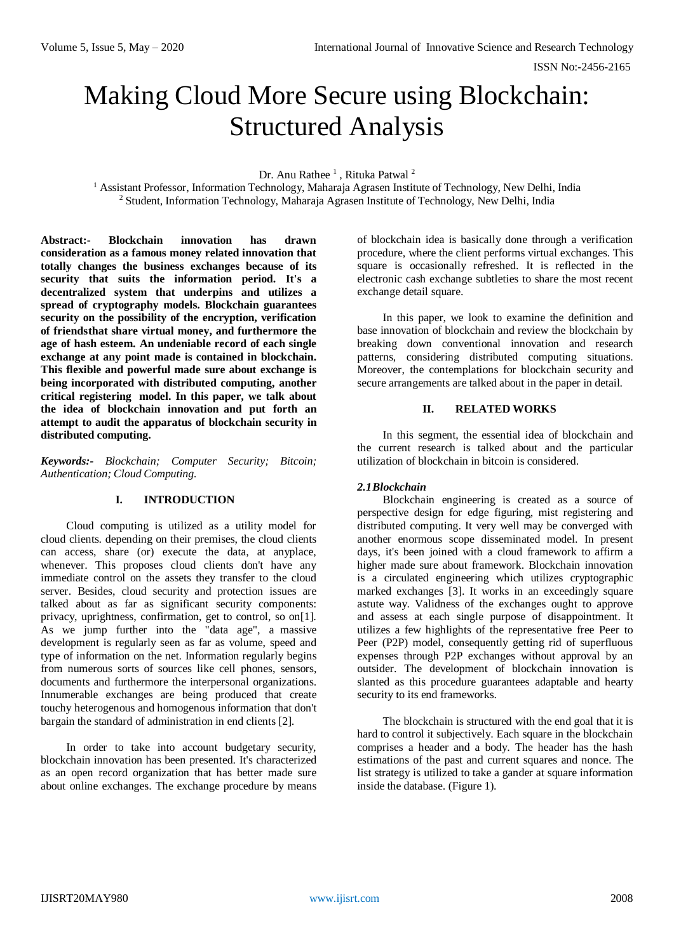ISSN No:-2456-2165

# Making Cloud More Secure using Blockchain: Structured Analysis

Dr. Anu Rathee<sup>1</sup>, Rituka Patwal<sup>2</sup>

<sup>1</sup> Assistant Professor, Information Technology, Maharaja Agrasen Institute of Technology, New Delhi, India <sup>2</sup> Student, Information Technology, Maharaja Agrasen Institute of Technology, New Delhi, India

**Abstract:- Blockchain innovation has drawn consideration as a famous money related innovation that totally changes the business exchanges because of its security that suits the information period. It's a decentralized system that underpins and utilizes a spread of cryptography models. Blockchain guarantees security on the possibility of the encryption, verification of friendsthat share virtual money, and furthermore the age of hash esteem. An undeniable record of each single exchange at any point made is contained in blockchain. This flexible and powerful made sure about exchange is being incorporated with distributed computing, another critical registering model. In this paper, we talk about the idea of blockchain innovation and put forth an attempt to audit the apparatus of blockchain security in distributed computing.**

*Keywords:- Blockchain; Computer Security; Bitcoin; Authentication; Cloud Computing.*

# **I. INTRODUCTION**

Cloud computing is utilized as a utility model for cloud clients. depending on their premises, the cloud clients can access, share (or) execute the data, at anyplace, whenever. This proposes cloud clients don't have any immediate control on the assets they transfer to the cloud server. Besides, cloud security and protection issues are talked about as far as significant security components: privacy, uprightness, confirmation, get to control, so on[1]. As we jump further into the "data age", a massive development is regularly seen as far as volume, speed and type of information on the net. Information regularly begins from numerous sorts of sources like cell phones, sensors, documents and furthermore the interpersonal organizations. Innumerable exchanges are being produced that create touchy heterogenous and homogenous information that don't bargain the standard of administration in end clients [2].

In order to take into account budgetary security, blockchain innovation has been presented. It's characterized as an open record organization that has better made sure about online exchanges. The exchange procedure by means of blockchain idea is basically done through a verification procedure, where the client performs virtual exchanges. This square is occasionally refreshed. It is reflected in the electronic cash exchange subtleties to share the most recent exchange detail square.

In this paper, we look to examine the definition and base innovation of blockchain and review the blockchain by breaking down conventional innovation and research patterns, considering distributed computing situations. Moreover, the contemplations for blockchain security and secure arrangements are talked about in the paper in detail.

#### **II. RELATED WORKS**

In this segment, the essential idea of blockchain and the current research is talked about and the particular utilization of blockchain in bitcoin is considered.

# *2.1Blockchain*

Blockchain engineering is created as a source of perspective design for edge figuring, mist registering and distributed computing. It very well may be converged with another enormous scope disseminated model. In present days, it's been joined with a cloud framework to affirm a higher made sure about framework. Blockchain innovation is a circulated engineering which utilizes cryptographic marked exchanges [3]. It works in an exceedingly square astute way. Validness of the exchanges ought to approve and assess at each single purpose of disappointment. It utilizes a few highlights of the representative free Peer to Peer (P2P) model, consequently getting rid of superfluous expenses through P2P exchanges without approval by an outsider. The development of blockchain innovation is slanted as this procedure guarantees adaptable and hearty security to its end frameworks.

The blockchain is structured with the end goal that it is hard to control it subjectively. Each square in the blockchain comprises a header and a body. The header has the hash estimations of the past and current squares and nonce. The list strategy is utilized to take a gander at square information inside the database. (Figure 1).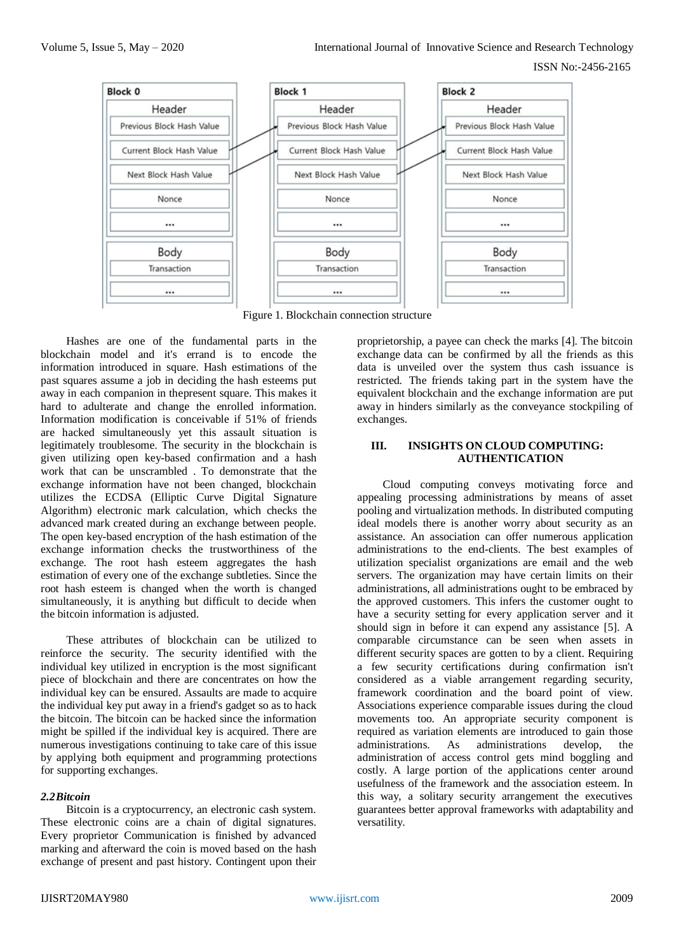

Figure 1. Blockchain connection structure

Hashes are one of the fundamental parts in the blockchain model and it's errand is to encode the information introduced in square. Hash estimations of the past squares assume a job in deciding the hash esteems put away in each companion in thepresent square. This makes it hard to adulterate and change the enrolled information. Information modification is conceivable if 51% of friends are hacked simultaneously yet this assault situation is legitimately troublesome. The security in the blockchain is given utilizing open key-based confirmation and a hash work that can be unscrambled . To demonstrate that the exchange information have not been changed, blockchain utilizes the ECDSA (Elliptic Curve Digital Signature Algorithm) electronic mark calculation, which checks the advanced mark created during an exchange between people. The open key-based encryption of the hash estimation of the exchange information checks the trustworthiness of the exchange. The root hash esteem aggregates the hash estimation of every one of the exchange subtleties. Since the root hash esteem is changed when the worth is changed simultaneously, it is anything but difficult to decide when the bitcoin information is adjusted.

These attributes of blockchain can be utilized to reinforce the security. The security identified with the individual key utilized in encryption is the most significant piece of blockchain and there are concentrates on how the individual key can be ensured. Assaults are made to acquire the individual key put away in a friend's gadget so as to hack the bitcoin. The bitcoin can be hacked since the information might be spilled if the individual key is acquired. There are numerous investigations continuing to take care of this issue by applying both equipment and programming protections for supporting exchanges.

# *2.2Bitcoin*

Bitcoin is a cryptocurrency, an electronic cash system. These electronic coins are a chain of digital signatures. Every proprietor Communication is finished by advanced marking and afterward the coin is moved based on the hash exchange of present and past history. Contingent upon their proprietorship, a payee can check the marks [4]. The bitcoin exchange data can be confirmed by all the friends as this data is unveiled over the system thus cash issuance is restricted. The friends taking part in the system have the equivalent blockchain and the exchange information are put away in hinders similarly as the conveyance stockpiling of exchanges.

# **III. INSIGHTS ON CLOUD COMPUTING: AUTHENTICATION**

Cloud computing conveys motivating force and appealing processing administrations by means of asset pooling and virtualization methods. In distributed computing ideal models there is another worry about security as an assistance. An association can offer numerous application administrations to the end-clients. The best examples of utilization specialist organizations are email and the web servers. The organization may have certain limits on their administrations, all administrations ought to be embraced by the approved customers. This infers the customer ought to have a security setting for every application server and it should sign in before it can expend any assistance [5]. A comparable circumstance can be seen when assets in different security spaces are gotten to by a client. Requiring a few security certifications during confirmation isn't considered as a viable arrangement regarding security, framework coordination and the board point of view. Associations experience comparable issues during the cloud movements too. An appropriate security component is required as variation elements are introduced to gain those administrations. As administrations develop, the administration of access control gets mind boggling and costly. A large portion of the applications center around usefulness of the framework and the association esteem. In this way, a solitary security arrangement the executives guarantees better approval frameworks with adaptability and versatility.